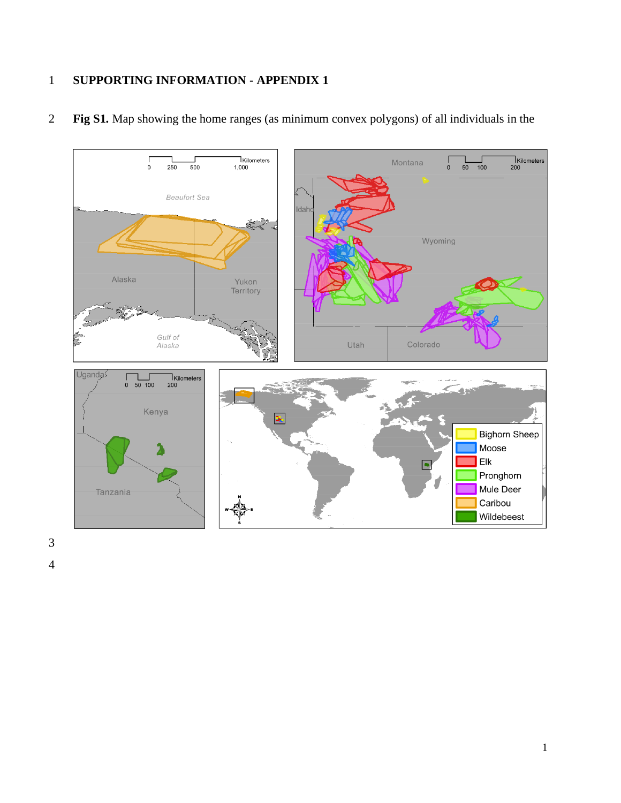## **SUPPORTING INFORMATION - APPENDIX 1**



**Fig S1.** Map showing the home ranges (as minimum convex polygons) of all individuals in the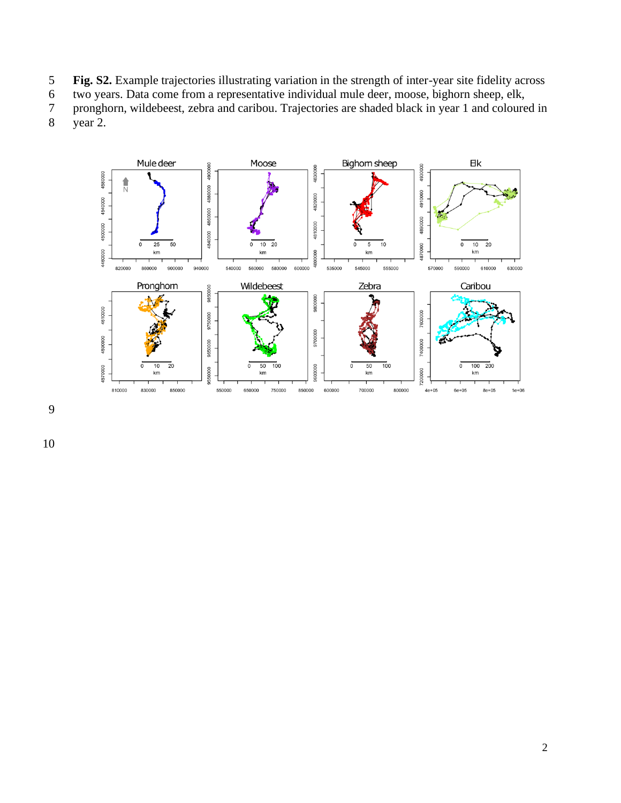- **Fig. S2.** Example trajectories illustrating variation in the strength of inter-year site fidelity across
- two years. Data come from a representative individual mule deer, moose, bighorn sheep, elk,
- pronghorn, wildebeest, zebra and caribou. Trajectories are shaded black in year 1 and coloured in year 2.
- 

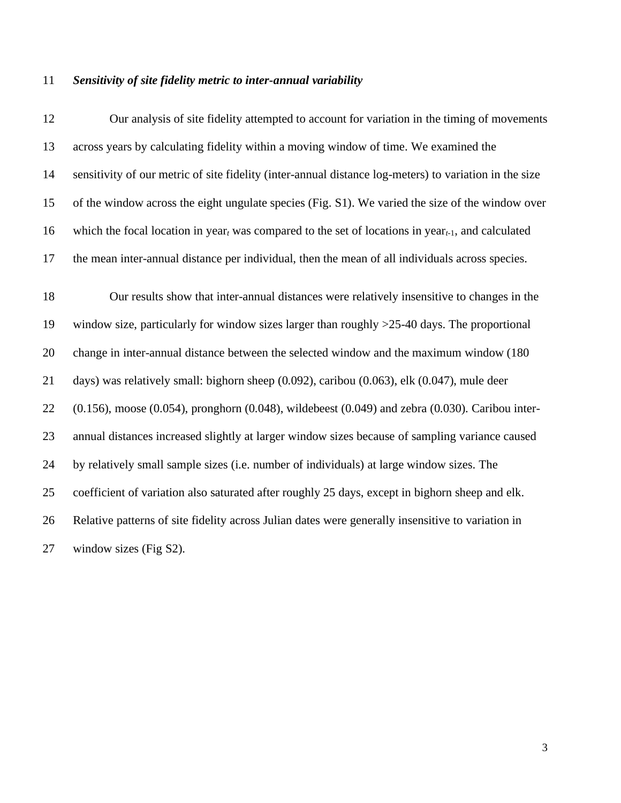## *Sensitivity of site fidelity metric to inter-annual variability*

| 12 | Our analysis of site fidelity attempted to account for variation in the timing of movements                    |
|----|----------------------------------------------------------------------------------------------------------------|
| 13 | across years by calculating fidelity within a moving window of time. We examined the                           |
| 14 | sensitivity of our metric of site fidelity (inter-annual distance log-meters) to variation in the size         |
| 15 | of the window across the eight ungulate species (Fig. S1). We varied the size of the window over               |
| 16 | which the focal location in year, was compared to the set of locations in year <sub>t-1</sub> , and calculated |
| 17 | the mean inter-annual distance per individual, then the mean of all individuals across species.                |
| 18 | Our results show that inter-annual distances were relatively insensitive to changes in the                     |
| 19 | window size, particularly for window sizes larger than roughly $>25-40$ days. The proportional                 |
| 20 | change in inter-annual distance between the selected window and the maximum window (180)                       |
| 21 | days) was relatively small: bighorn sheep $(0.092)$ , caribou $(0.063)$ , elk $(0.047)$ , mule deer            |
| 22 | $(0.156)$ , moose $(0.054)$ , pronghorn $(0.048)$ , wildebeest $(0.049)$ and zebra $(0.030)$ . Caribou inter-  |
| 23 | annual distances increased slightly at larger window sizes because of sampling variance caused                 |
| 24 | by relatively small sample sizes (i.e. number of individuals) at large window sizes. The                       |
| 25 | coefficient of variation also saturated after roughly 25 days, except in bighorn sheep and elk.                |
| 26 | Relative patterns of site fidelity across Julian dates were generally insensitive to variation in              |
| 27 | window sizes (Fig S2).                                                                                         |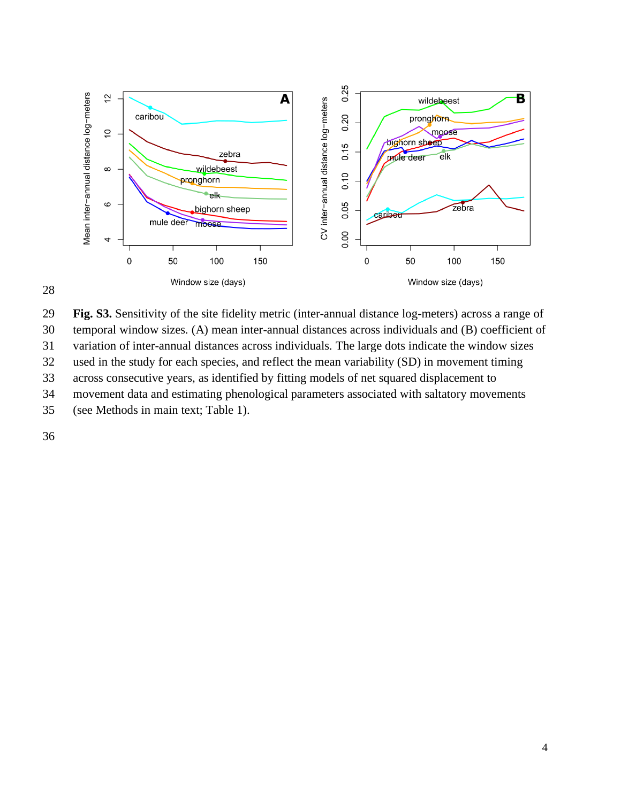



 **Fig. S3.** Sensitivity of the site fidelity metric (inter-annual distance log-meters) across a range of temporal window sizes. (A) mean inter-annual distances across individuals and (B) coefficient of

variation of inter-annual distances across individuals. The large dots indicate the window sizes

used in the study for each species, and reflect the mean variability (SD) in movement timing

across consecutive years, as identified by fitting models of net squared displacement to

movement data and estimating phenological parameters associated with saltatory movements

(see Methods in main text; Table 1).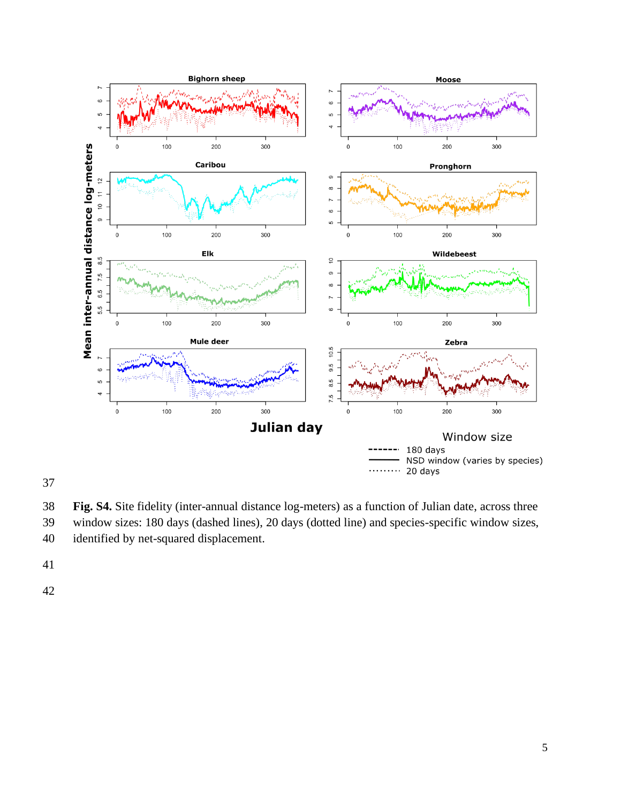

**Fig. S4.** Site fidelity (inter-annual distance log-meters) as a function of Julian date, across three

- window sizes: 180 days (dashed lines), 20 days (dotted line) and species-specific window sizes, identified by net-squared displacement.
- 
-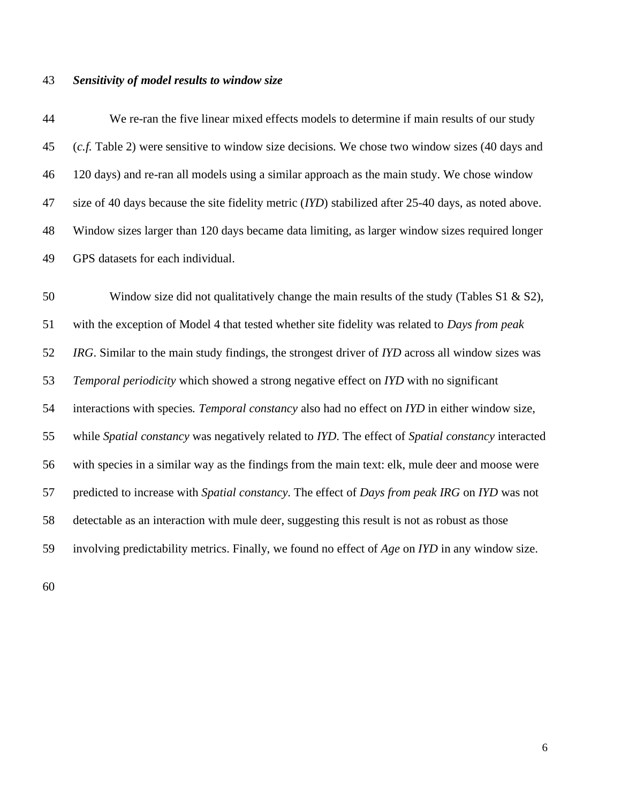## *Sensitivity of model results to window size*

 We re-ran the five linear mixed effects models to determine if main results of our study (*c.f.* Table 2) were sensitive to window size decisions. We chose two window sizes (40 days and 120 days) and re-ran all models using a similar approach as the main study. We chose window size of 40 days because the site fidelity metric (*IYD*) stabilized after 25-40 days, as noted above. Window sizes larger than 120 days became data limiting, as larger window sizes required longer GPS datasets for each individual.

 Window size did not qualitatively change the main results of the study (Tables S1 & S2), with the exception of Model 4 that tested whether site fidelity was related to *Days from peak IRG*. Similar to the main study findings, the strongest driver of *IYD* across all window sizes was *Temporal periodicity* which showed a strong negative effect on *IYD* with no significant interactions with species*. Temporal constancy* also had no effect on *IYD* in either window size, while *Spatial constancy* was negatively related to *IYD*. The effect of *Spatial constancy* interacted with species in a similar way as the findings from the main text: elk, mule deer and moose were predicted to increase with *Spatial constancy*. The effect of *Days from peak IRG* on *IYD* was not detectable as an interaction with mule deer, suggesting this result is not as robust as those involving predictability metrics. Finally, we found no effect of *Age* on *IYD* in any window size.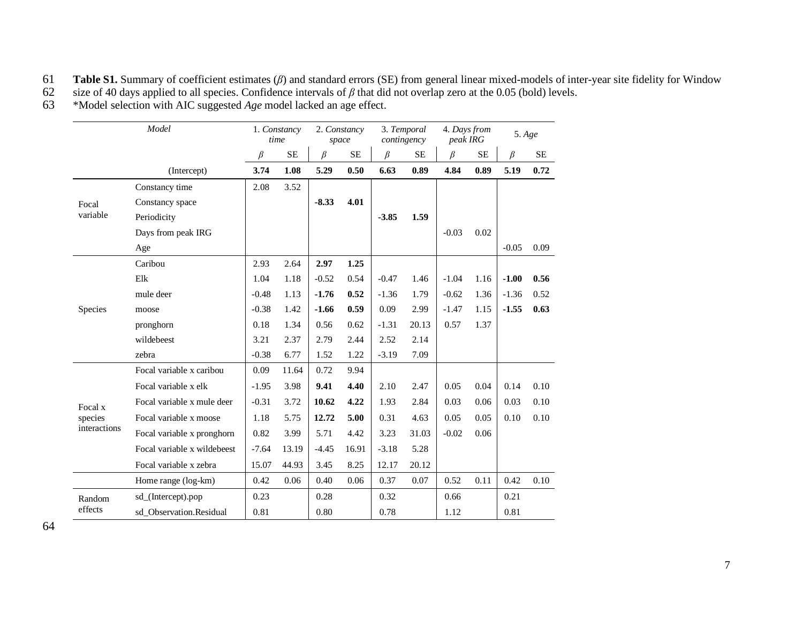## **Table S1.** Summary of coefficient estimates ( $\beta$ ) and standard errors (SE) from general linear mixed-models of inter-year site fidelity for Window size of 40 days applied to all species. Confidence intervals of  $\beta$  tha

62 size of 40 days applied to all species. Confidence intervals of  $\beta$  that did not overlap zero at the 0.05 (bold) levels.<br><sup>46</sup> \*Model selection with AIC suggested *Age* model lacked an age effect.

\*Model selection with AIC suggested *Age* model lacked an age effect.

| Model        |                             | 1. Constancy<br>time |           | 2. Constancy<br>space |           | 3. Temporal<br>contingency |           | 4. Days from<br>peak IRG |          | 5. Age  |           |
|--------------|-----------------------------|----------------------|-----------|-----------------------|-----------|----------------------------|-----------|--------------------------|----------|---------|-----------|
|              |                             | $\beta$              | <b>SE</b> | $\beta$               | <b>SE</b> | $\beta$                    | <b>SE</b> | β                        | $\rm SE$ | $\beta$ | <b>SE</b> |
|              | (Intercept)                 | 3.74                 | 1.08      | 5.29                  | 0.50      | 6.63                       | 0.89      | 4.84                     | 0.89     | 5.19    | 0.72      |
|              | Constancy time              | 2.08                 | 3.52      |                       |           |                            |           |                          |          |         |           |
| Focal        | Constancy space             |                      |           | $-8.33$               | 4.01      |                            |           |                          |          |         |           |
| variable     | Periodicity                 |                      |           |                       |           | $-3.85$                    | 1.59      |                          |          |         |           |
|              | Days from peak IRG          |                      |           |                       |           |                            |           | $-0.03$                  | 0.02     |         |           |
|              | Age                         |                      |           |                       |           |                            |           |                          |          | $-0.05$ | 0.09      |
|              | Caribou                     | 2.93                 | 2.64      | 2.97                  | 1.25      |                            |           |                          |          |         |           |
|              | Elk                         | 1.04                 | 1.18      | $-0.52$               | 0.54      | $-0.47$                    | 1.46      | $-1.04$                  | 1.16     | $-1.00$ | 0.56      |
|              | mule deer                   | $-0.48$              | 1.13      | $-1.76$               | 0.52      | $-1.36$                    | 1.79      | $-0.62$                  | 1.36     | $-1.36$ | 0.52      |
| Species      | moose                       | $-0.38$              | 1.42      | $-1.66$               | 0.59      | 0.09                       | 2.99      | $-1.47$                  | 1.15     | $-1.55$ | 0.63      |
|              | pronghorn                   | 0.18                 | 1.34      | 0.56                  | 0.62      | $-1.31$                    | 20.13     | 0.57                     | 1.37     |         |           |
|              | wildebeest                  | 3.21                 | 2.37      | 2.79                  | 2.44      | 2.52                       | 2.14      |                          |          |         |           |
|              | zebra                       | $-0.38$              | 6.77      | 1.52                  | 1.22      | $-3.19$                    | 7.09      |                          |          |         |           |
|              | Focal variable x caribou    | 0.09                 | 11.64     | 0.72                  | 9.94      |                            |           |                          |          |         |           |
|              | Focal variable x elk        | $-1.95$              | 3.98      | 9.41                  | 4.40      | 2.10                       | 2.47      | 0.05                     | 0.04     | 0.14    | 0.10      |
| Focal x      | Focal variable x mule deer  | $-0.31$              | 3.72      | 10.62                 | 4.22      | 1.93                       | 2.84      | 0.03                     | 0.06     | 0.03    | 0.10      |
| species      | Focal variable x moose      | 1.18                 | 5.75      | 12.72                 | 5.00      | 0.31                       | 4.63      | 0.05                     | 0.05     | 0.10    | 0.10      |
| interactions | Focal variable x pronghorn  | 0.82                 | 3.99      | 5.71                  | 4.42      | 3.23                       | 31.03     | $-0.02$                  | 0.06     |         |           |
|              | Focal variable x wildebeest | $-7.64$              | 13.19     | $-4.45$               | 16.91     | $-3.18$                    | 5.28      |                          |          |         |           |
|              | Focal variable x zebra      | 15.07                | 44.93     | 3.45                  | 8.25      | 12.17                      | 20.12     |                          |          |         |           |
|              | Home range (log-km)         | 0.42                 | 0.06      | 0.40                  | 0.06      | 0.37                       | 0.07      | 0.52                     | 0.11     | 0.42    | 0.10      |
| Random       | sd_(Intercept).pop          | 0.23                 |           | 0.28                  |           | 0.32                       |           | 0.66                     |          | 0.21    |           |
| effects      | sd Observation.Residual     | 0.81                 |           | 0.80                  |           | 0.78                       |           | 1.12                     |          | 0.81    |           |